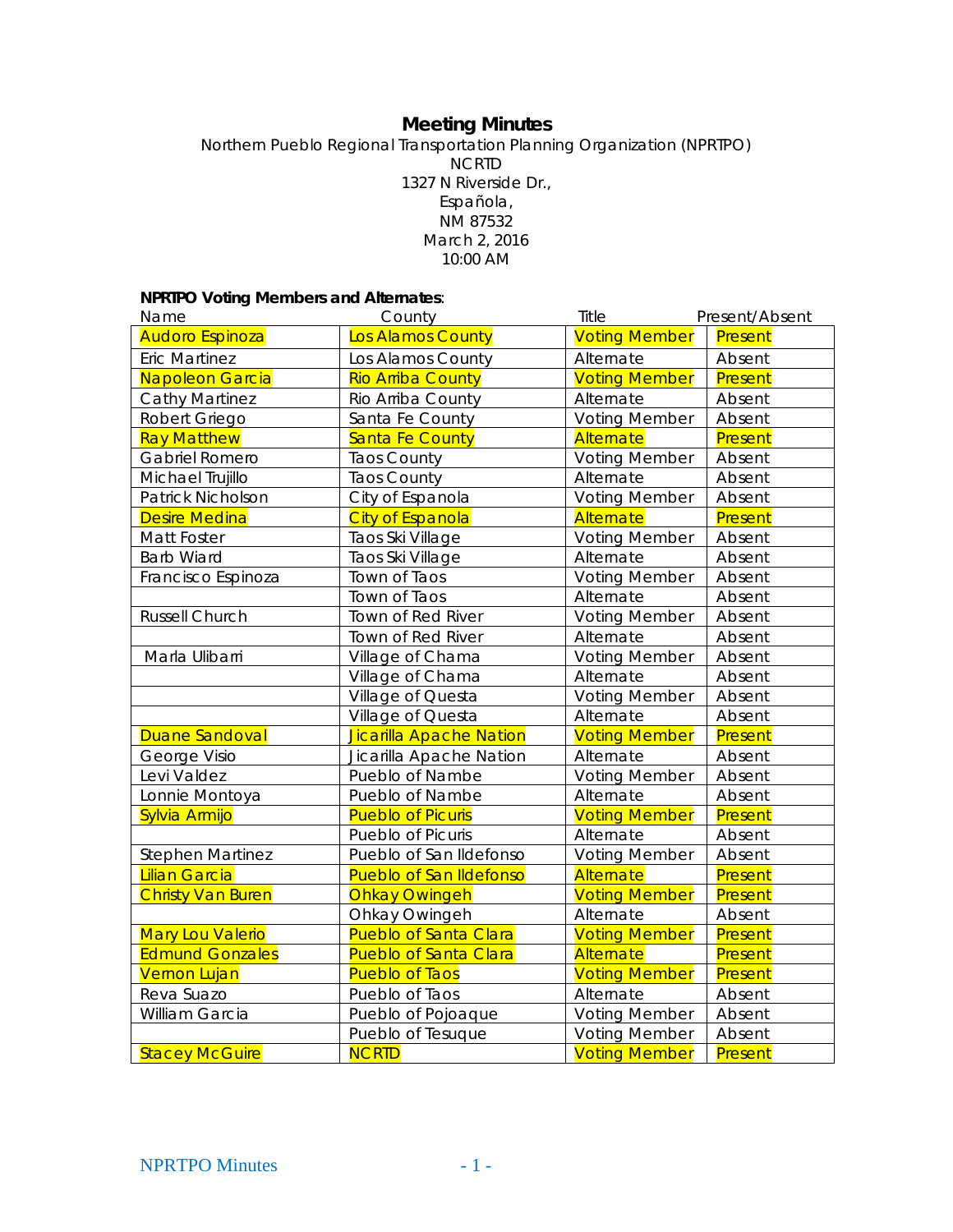# **Meeting Minutes**

Northern Pueblo Regional Transportation Planning Organization (NPRTPO) NCRTD 1327 N Riverside Dr., Española, NM 87532 March 2, 2016 10:00 AM

## **NPRTPO Voting Members and Alternates**:

| Name                     | County                         | Title                | Present/Absent |
|--------------------------|--------------------------------|----------------------|----------------|
| <b>Audoro Espinoza</b>   | Los Alamos County              | <b>Voting Member</b> | Present        |
| <b>Eric Martinez</b>     | Los Alamos County              | Alternate            | Absent         |
| Napoleon Garcia          | <b>Rio Arriba County</b>       | <b>Voting Member</b> | Present        |
| <b>Cathy Martinez</b>    | Rio Arriba County              | Alternate            | Absent         |
| Robert Griego            | Santa Fe County                | <b>Voting Member</b> | Absent         |
| <b>Ray Matthew</b>       | <b>Santa Fe County</b>         | Alternate            | Present        |
| Gabriel Romero           | <b>Taos County</b>             | <b>Voting Member</b> | Absent         |
| Michael Trujillo         | <b>Taos County</b>             | Alternate            | Absent         |
| Patrick Nicholson        | City of Espanola               | <b>Voting Member</b> | Absent         |
| <b>Desire Medina</b>     | <b>City of Espanola</b>        | Alternate            | Present        |
| Matt Foster              | Taos Ski Village               | <b>Voting Member</b> | Absent         |
| <b>Barb Wiard</b>        | Taos Ski Village               | Alternate            | Absent         |
| Francisco Espinoza       | Town of Taos                   | <b>Voting Member</b> | Absent         |
|                          | Town of Taos                   | Alternate            | Absent         |
| Russell Church           | Town of Red River              | <b>Voting Member</b> | Absent         |
|                          | Town of Red River              | Alternate            | Absent         |
| Marla Ulibarri           | Village of Chama               | <b>Voting Member</b> | Absent         |
|                          | Village of Chama               | Alternate            | Absent         |
|                          | Village of Questa              | <b>Voting Member</b> | Absent         |
|                          | Village of Questa              | Alternate            | Absent         |
| <b>Duane Sandoval</b>    | Jicarilla Apache Nation        | <b>Voting Member</b> | Present        |
| George Visio             | Jicarilla Apache Nation        | Alternate            | Absent         |
| Levi Valdez              | Pueblo of Nambe                | <b>Voting Member</b> | Absent         |
| Lonnie Montoya           | Pueblo of Nambe                | Alternate            | Absent         |
| Sylvia Armijo            | <b>Pueblo of Picuris</b>       | <b>Voting Member</b> | Present        |
|                          | Pueblo of Picuris              | Alternate            | Absent         |
| <b>Stephen Martinez</b>  | Pueblo of San Ildefonso        | <b>Voting Member</b> | Absent         |
| Lilian Garcia            | <b>Pueblo of San Ildefonso</b> | Alternate            | Present        |
| <b>Christy Van Buren</b> | <b>Ohkay Owingeh</b>           | <b>Voting Member</b> | Present        |
|                          | Ohkay Owingeh                  | Alternate            | Absent         |
| <b>Mary Lou Valerio</b>  | <b>Pueblo of Santa Clara</b>   | <b>Voting Member</b> | Present        |
| <b>Edmund Gonzales</b>   | <b>Pueblo of Santa Clara</b>   | Alternate            | Present        |
| <b>Vernon Lujan</b>      | <b>Pueblo of Taos</b>          | <b>Voting Member</b> | Present        |
| Reva Suazo               | Pueblo of Taos                 | Alternate            | Absent         |
| William Garcia           | Pueblo of Pojoaque             | <b>Voting Member</b> | Absent         |
|                          | Pueblo of Tesuque              | <b>Voting Member</b> | Absent         |
| <b>Stacey McGuire</b>    | <b>NCRTD</b>                   | <b>Voting Member</b> | Present        |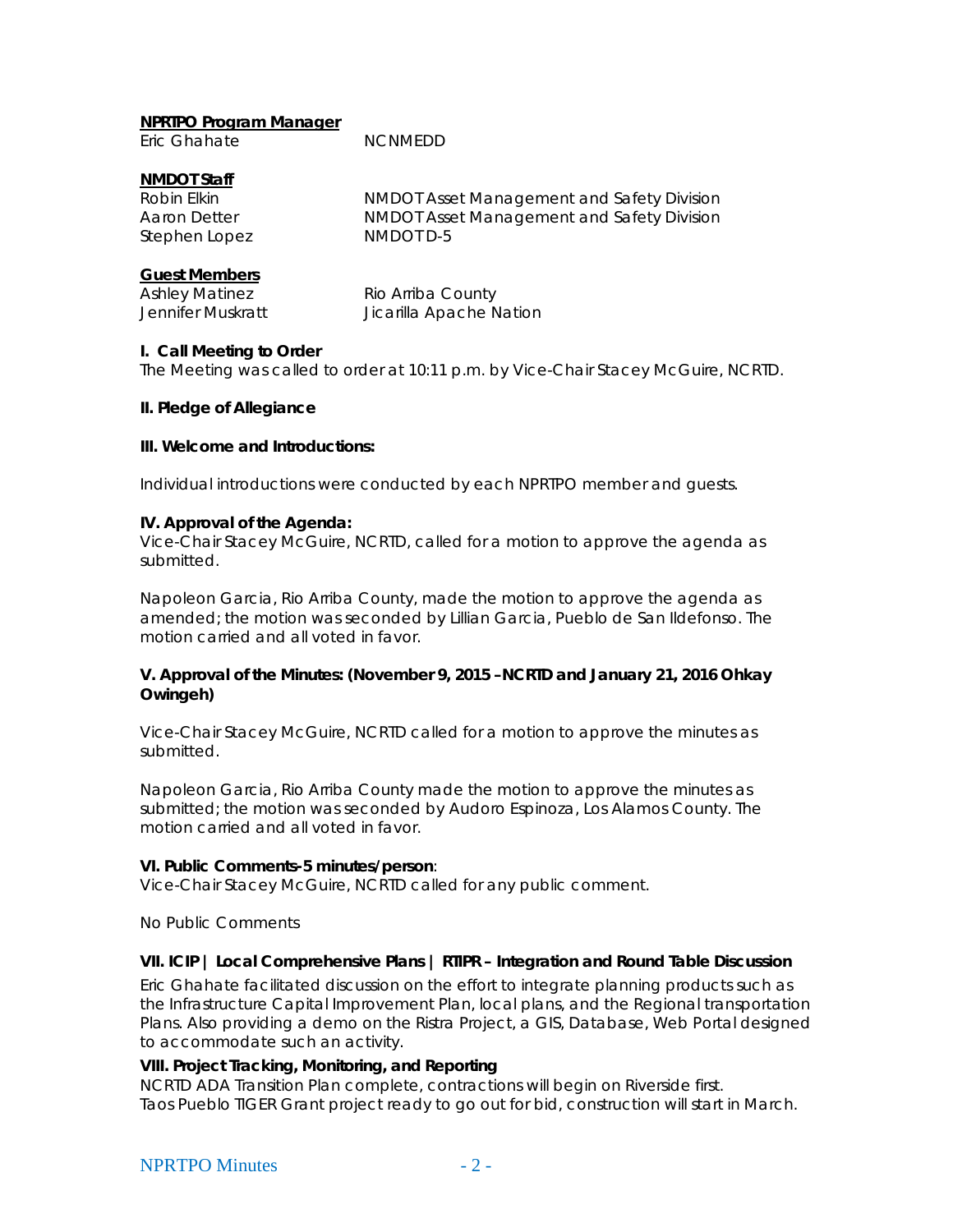## **NPRTPO Program Manager**

Eric Ghahate NCNMEDD

## **NMDOT Staff**

| Robin Elkin   | <b>NMDOT Asset Management and Safety Division</b> |
|---------------|---------------------------------------------------|
| Aaron Detter  | NMDOT Asset Management and Safety Division        |
| Stephen Lopez | NMDOT D-5                                         |

## **Guest Members**

| <b>Ashley Matinez</b> | Rio Arriba County       |
|-----------------------|-------------------------|
| Jennifer Muskratt     | Jicarilla Apache Nation |

## **I. Call Meeting to Order**

The Meeting was called to order at 10:11 p.m. by Vice-Chair Stacey McGuire, NCRTD.

## **II. Pledge of Allegiance**

## **III. Welcome and Introductions:**

Individual introductions were conducted by each NPRTPO member and guests.

## **IV. Approval of the Agenda:**

Vice-Chair Stacey McGuire, NCRTD, called for a motion to approve the agenda as submitted.

Napoleon Garcia, Rio Arriba County, made the motion to approve the agenda as amended; the motion was seconded by Lillian Garcia, Pueblo de San Ildefonso. The motion carried and all voted in favor.

#### **V. Approval of the Minutes: (November 9, 2015 –NCRTD and January 21, 2016 Ohkay Owingeh)**

Vice-Chair Stacey McGuire, NCRTD called for a motion to approve the minutes as submitted.

Napoleon Garcia, Rio Arriba County made the motion to approve the minutes as submitted; the motion was seconded by Audoro Espinoza, Los Alamos County. The motion carried and all voted in favor.

## **VI. Public Comments-5 minutes/person**:

Vice-Chair Stacey McGuire, NCRTD called for any public comment.

No Public Comments

## **VII. ICIP | Local Comprehensive Plans | RTIPR – Integration and Round Table Discussion**

Eric Ghahate facilitated discussion on the effort to integrate planning products such as the Infrastructure Capital Improvement Plan, local plans, and the Regional transportation Plans. Also providing a demo on the Ristra Project, a GIS, Database, Web Portal designed to accommodate such an activity.

## **VIII. Project Tracking, Monitoring, and Reporting**

NCRTD ADA Transition Plan complete, contractions will begin on Riverside first. Taos Pueblo TIGER Grant project ready to go out for bid, construction will start in March.